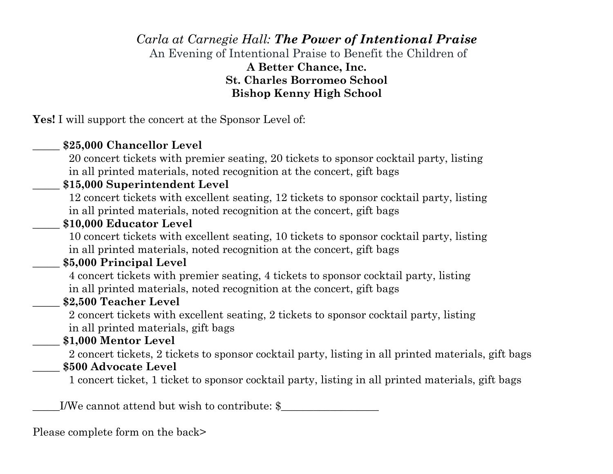## *Carla at Carnegie Hall: The Power of Intentional Praise* An Evening of Intentional Praise to Benefit the Children of **A Better Chance, Inc. St. Charles Borromeo School Bishop Kenny High School**

**Yes!** I will support the concert at the Sponsor Level of:

#### \_\_\_\_\_ **\$25,000 Chancellor Level**

 20 concert tickets with premier seating, 20 tickets to sponsor cocktail party, listing in all printed materials, noted recognition at the concert, gift bags

### \_\_\_\_\_ **\$15,000 Superintendent Level**

 12 concert tickets with excellent seating, 12 tickets to sponsor cocktail party, listing in all printed materials, noted recognition at the concert, gift bags

#### \_\_\_\_\_ **\$10,000 Educator Level**

 10 concert tickets with excellent seating, 10 tickets to sponsor cocktail party, listing in all printed materials, noted recognition at the concert, gift bags

#### \_\_\_\_\_ **\$5,000 Principal Level**

 4 concert tickets with premier seating, 4 tickets to sponsor cocktail party, listing in all printed materials, noted recognition at the concert, gift bags

## \_\_\_\_\_ **\$2,500 Teacher Level**

 2 concert tickets with excellent seating, 2 tickets to sponsor cocktail party, listing in all printed materials, gift bags

## \_\_\_\_\_ **\$1,000 Mentor Level**

 2 concert tickets, 2 tickets to sponsor cocktail party, listing in all printed materials, gift bags \_\_\_\_\_ **\$500 Advocate Level**

1 concert ticket, 1 ticket to sponsor cocktail party, listing in all printed materials, gift bags

\_\_\_\_\_I/We cannot attend but wish to contribute: \$\_\_\_\_\_\_\_\_\_\_\_\_\_\_\_\_\_\_

Please complete form on the back>